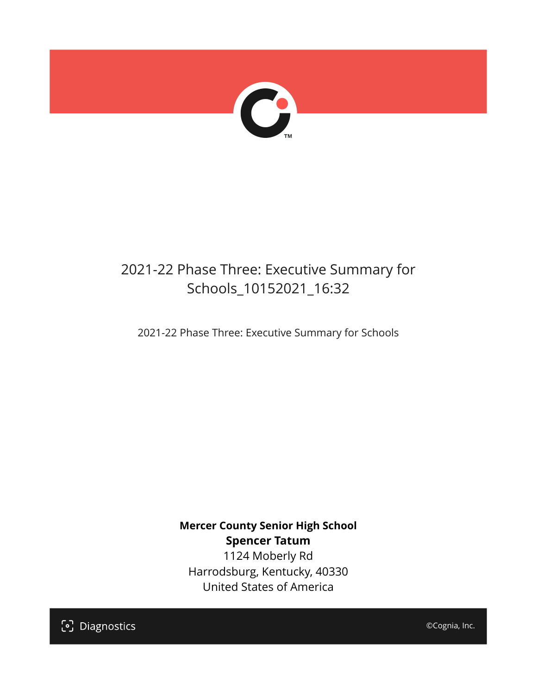

## 2021-22 Phase Three: Executive Summary for Schools\_10152021\_16:32

2021-22 Phase Three: Executive Summary for Schools

**Mercer County Senior High School Spencer Tatum** 1124 Moberly Rd Harrodsburg, Kentucky, 40330 United States of America

[၁] Diagnostics

©Cognia, Inc.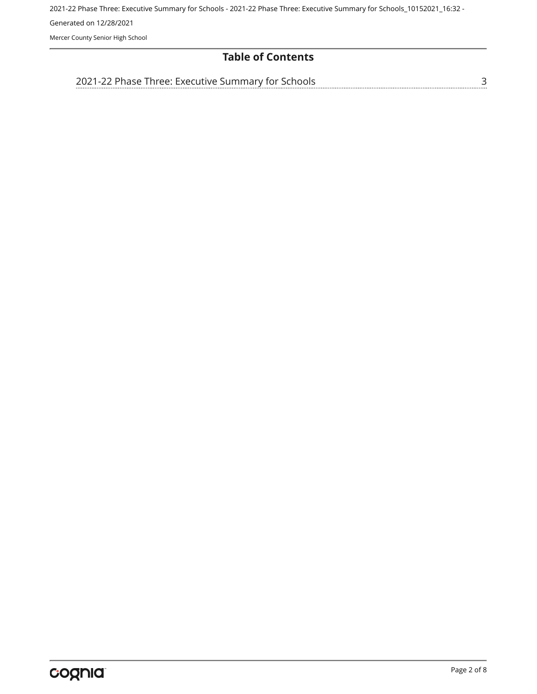Mercer County Senior High School

#### **Table of Contents**

[2021-22 Phase Three: Executive Summary for Schools](#page-2-0)

[3](#page-2-0)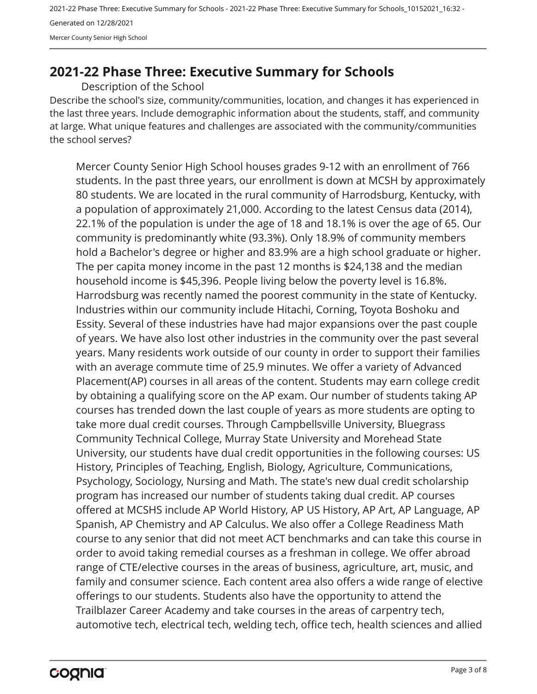2021-22 Phase Three: Executive Summary for Schools - 2021-22 Phase Three: Executive Summary for Schools\_10152021\_16:32 - Generated on 12/28/2021 Mercer County Senior High School

### <span id="page-2-0"></span>**2021-22 Phase Three: Executive Summary for Schools**

Description of the School

Describe the school's size, community/communities, location, and changes it has experienced in the last three years. Include demographic information about the students, staff, and community at large. What unique features and challenges are associated with the community/communities the school serves?

Mercer County Senior High School houses grades 9-12 with an enrollment of 766 students. In the past three years, our enrollment is down at MCSH by approximately 80 students. We are located in the rural community of Harrodsburg, Kentucky, with a population of approximately 21,000. According to the latest Census data (2014), 22.1% of the population is under the age of 18 and 18.1% is over the age of 65. Our community is predominantly white (93.3%). Only 18.9% of community members hold a Bachelor's degree or higher and 83.9% are a high school graduate or higher. The per capita money income in the past 12 months is \$24,138 and the median household income is \$45,396. People living below the poverty level is 16.8%. Harrodsburg was recently named the poorest community in the state of Kentucky. Industries within our community include Hitachi, Corning, Toyota Boshoku and Essity. Several of these industries have had major expansions over the past couple of years. We have also lost other industries in the community over the past several years. Many residents work outside of our county in order to support their families with an average commute time of 25.9 minutes. We offer a variety of Advanced Placement(AP) courses in all areas of the content. Students may earn college credit by obtaining a qualifying score on the AP exam. Our number of students taking AP courses has trended down the last couple of years as more students are opting to take more dual credit courses. Through Campbellsville University, Bluegrass Community Technical College, Murray State University and Morehead State University, our students have dual credit opportunities in the following courses: US History, Principles of Teaching, English, Biology, Agriculture, Communications, Psychology, Sociology, Nursing and Math. The state's new dual credit scholarship program has increased our number of students taking dual credit. AP courses offered at MCSHS include AP World History, AP US History, AP Art, AP Language, AP Spanish, AP Chemistry and AP Calculus. We also offer a College Readiness Math course to any senior that did not meet ACT benchmarks and can take this course in order to avoid taking remedial courses as a freshman in college. We offer abroad range of CTE/elective courses in the areas of business, agriculture, art, music, and family and consumer science. Each content area also offers a wide range of elective offerings to our students. Students also have the opportunity to attend the Trailblazer Career Academy and take courses in the areas of carpentry tech, automotive tech, electrical tech, welding tech, office tech, health sciences and allied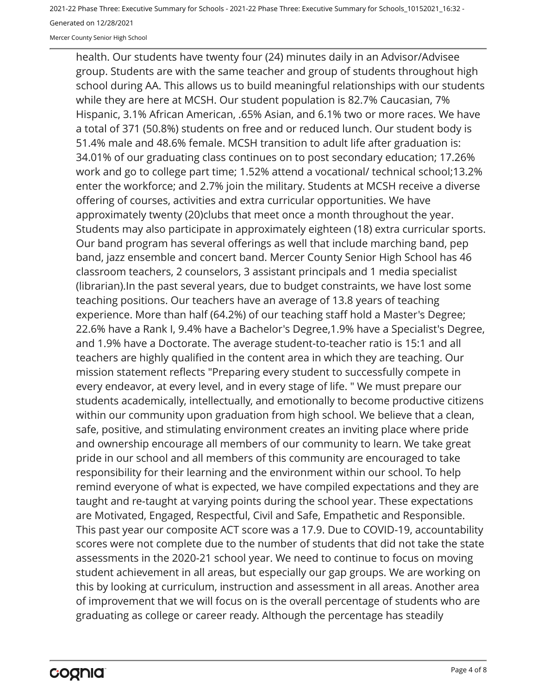Mercer County Senior High School

health. Our students have twenty four (24) minutes daily in an Advisor/Advisee group. Students are with the same teacher and group of students throughout high school during AA. This allows us to build meaningful relationships with our students while they are here at MCSH. Our student population is 82.7% Caucasian, 7% Hispanic, 3.1% African American, .65% Asian, and 6.1% two or more races. We have a total of 371 (50.8%) students on free and or reduced lunch. Our student body is 51.4% male and 48.6% female. MCSH transition to adult life after graduation is: 34.01% of our graduating class continues on to post secondary education; 17.26% work and go to college part time; 1.52% attend a vocational/ technical school;13.2% enter the workforce; and 2.7% join the military. Students at MCSH receive a diverse offering of courses, activities and extra curricular opportunities. We have approximately twenty (20)clubs that meet once a month throughout the year. Students may also participate in approximately eighteen (18) extra curricular sports. Our band program has several offerings as well that include marching band, pep band, jazz ensemble and concert band. Mercer County Senior High School has 46 classroom teachers, 2 counselors, 3 assistant principals and 1 media specialist (librarian).In the past several years, due to budget constraints, we have lost some teaching positions. Our teachers have an average of 13.8 years of teaching experience. More than half (64.2%) of our teaching staff hold a Master's Degree; 22.6% have a Rank I, 9.4% have a Bachelor's Degree,1.9% have a Specialist's Degree, and 1.9% have a Doctorate. The average student-to-teacher ratio is 15:1 and all teachers are highly qualified in the content area in which they are teaching. Our mission statement reflects "Preparing every student to successfully compete in every endeavor, at every level, and in every stage of life. " We must prepare our students academically, intellectually, and emotionally to become productive citizens within our community upon graduation from high school. We believe that a clean, safe, positive, and stimulating environment creates an inviting place where pride and ownership encourage all members of our community to learn. We take great pride in our school and all members of this community are encouraged to take responsibility for their learning and the environment within our school. To help remind everyone of what is expected, we have compiled expectations and they are taught and re-taught at varying points during the school year. These expectations are Motivated, Engaged, Respectful, Civil and Safe, Empathetic and Responsible. This past year our composite ACT score was a 17.9. Due to COVID-19, accountability scores were not complete due to the number of students that did not take the state assessments in the 2020-21 school year. We need to continue to focus on moving student achievement in all areas, but especially our gap groups. We are working on this by looking at curriculum, instruction and assessment in all areas. Another area of improvement that we will focus on is the overall percentage of students who are graduating as college or career ready. Although the percentage has steadily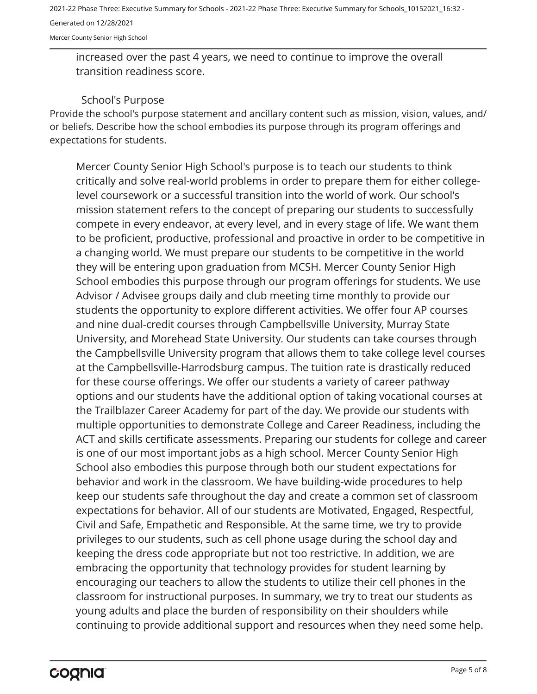Mercer County Senior High School

increased over the past 4 years, we need to continue to improve the overall transition readiness score.

#### School's Purpose

Provide the school's purpose statement and ancillary content such as mission, vision, values, and/ or beliefs. Describe how the school embodies its purpose through its program offerings and expectations for students.

Mercer County Senior High School's purpose is to teach our students to think critically and solve real-world problems in order to prepare them for either collegelevel coursework or a successful transition into the world of work. Our school's mission statement refers to the concept of preparing our students to successfully compete in every endeavor, at every level, and in every stage of life. We want them to be proficient, productive, professional and proactive in order to be competitive in a changing world. We must prepare our students to be competitive in the world they will be entering upon graduation from MCSH. Mercer County Senior High School embodies this purpose through our program offerings for students. We use Advisor / Advisee groups daily and club meeting time monthly to provide our students the opportunity to explore different activities. We offer four AP courses and nine dual-credit courses through Campbellsville University, Murray State University, and Morehead State University. Our students can take courses through the Campbellsville University program that allows them to take college level courses at the Campbellsville-Harrodsburg campus. The tuition rate is drastically reduced for these course offerings. We offer our students a variety of career pathway options and our students have the additional option of taking vocational courses at the Trailblazer Career Academy for part of the day. We provide our students with multiple opportunities to demonstrate College and Career Readiness, including the ACT and skills certificate assessments. Preparing our students for college and career is one of our most important jobs as a high school. Mercer County Senior High School also embodies this purpose through both our student expectations for behavior and work in the classroom. We have building-wide procedures to help keep our students safe throughout the day and create a common set of classroom expectations for behavior. All of our students are Motivated, Engaged, Respectful, Civil and Safe, Empathetic and Responsible. At the same time, we try to provide privileges to our students, such as cell phone usage during the school day and keeping the dress code appropriate but not too restrictive. In addition, we are embracing the opportunity that technology provides for student learning by encouraging our teachers to allow the students to utilize their cell phones in the classroom for instructional purposes. In summary, we try to treat our students as young adults and place the burden of responsibility on their shoulders while continuing to provide additional support and resources when they need some help.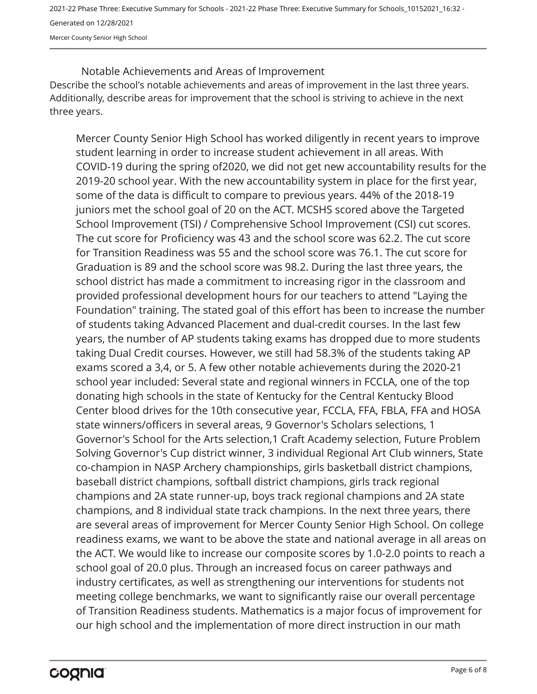Mercer County Senior High School

Describe the school's notable achievements and areas of improvement in the last three years. Additionally, describe areas for improvement that the school is striving to achieve in the next three years. Notable Achievements and Areas of Improvement

Mercer County Senior High School has worked diligently in recent years to improve student learning in order to increase student achievement in all areas. With COVID-19 during the spring of2020, we did not get new accountability results for the 2019-20 school year. With the new accountability system in place for the first year, some of the data is difficult to compare to previous years. 44% of the 2018-19 juniors met the school goal of 20 on the ACT. MCSHS scored above the Targeted School Improvement (TSI) / Comprehensive School Improvement (CSI) cut scores. The cut score for Proficiency was 43 and the school score was 62.2. The cut score for Transition Readiness was 55 and the school score was 76.1. The cut score for Graduation is 89 and the school score was 98.2. During the last three years, the school district has made a commitment to increasing rigor in the classroom and provided professional development hours for our teachers to attend "Laying the Foundation" training. The stated goal of this effort has been to increase the number of students taking Advanced Placement and dual-credit courses. In the last few years, the number of AP students taking exams has dropped due to more students taking Dual Credit courses. However, we still had 58.3% of the students taking AP exams scored a 3,4, or 5. A few other notable achievements during the 2020-21 school year included: Several state and regional winners in FCCLA, one of the top donating high schools in the state of Kentucky for the Central Kentucky Blood Center blood drives for the 10th consecutive year, FCCLA, FFA, FBLA, FFA and HOSA state winners/officers in several areas, 9 Governor's Scholars selections, 1 Governor's School for the Arts selection,1 Craft Academy selection, Future Problem Solving Governor's Cup district winner, 3 individual Regional Art Club winners, State co-champion in NASP Archery championships, girls basketball district champions, baseball district champions, softball district champions, girls track regional champions and 2A state runner-up, boys track regional champions and 2A state champions, and 8 individual state track champions. In the next three years, there are several areas of improvement for Mercer County Senior High School. On college readiness exams, we want to be above the state and national average in all areas on the ACT. We would like to increase our composite scores by 1.0-2.0 points to reach a school goal of 20.0 plus. Through an increased focus on career pathways and industry certificates, as well as strengthening our interventions for students not meeting college benchmarks, we want to significantly raise our overall percentage of Transition Readiness students. Mathematics is a major focus of improvement for our high school and the implementation of more direct instruction in our math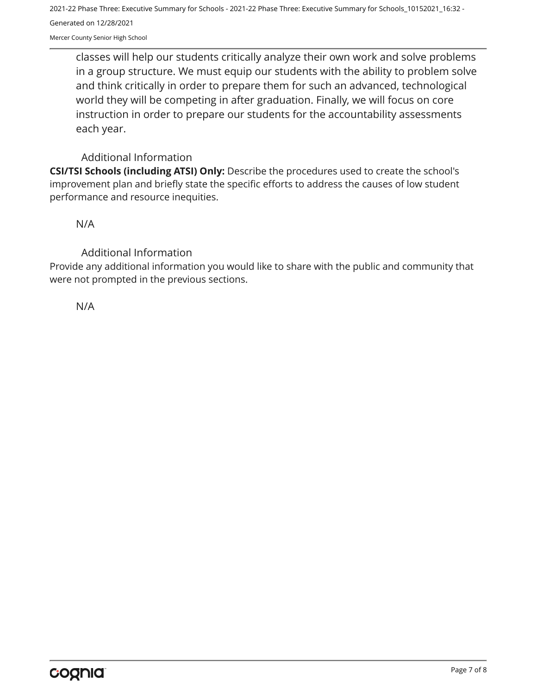Mercer County Senior High School

classes will help our students critically analyze their own work and solve problems in a group structure. We must equip our students with the ability to problem solve and think critically in order to prepare them for such an advanced, technological world they will be competing in after graduation. Finally, we will focus on core instruction in order to prepare our students for the accountability assessments each year.

#### Additional Information

**CSI/TSI Schools (including ATSI) Only:** Describe the procedures used to create the school's improvement plan and briefly state the specific efforts to address the causes of low student performance and resource inequities.

N/A

Additional Information

Provide any additional information you would like to share with the public and community that were not prompted in the previous sections.

N/A